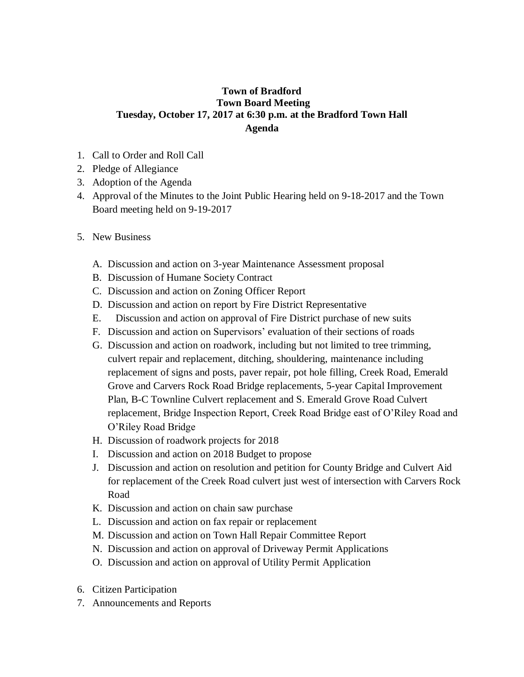## **Town of Bradford Town Board Meeting Tuesday, October 17, 2017 at 6:30 p.m. at the Bradford Town Hall Agenda**

- 1. Call to Order and Roll Call
- 2. Pledge of Allegiance
- 3. Adoption of the Agenda
- 4. Approval of the Minutes to the Joint Public Hearing held on 9-18-2017 and the Town Board meeting held on 9-19-2017
- 5. New Business
	- A. Discussion and action on 3-year Maintenance Assessment proposal
	- B. Discussion of Humane Society Contract
	- C. Discussion and action on Zoning Officer Report
	- D. Discussion and action on report by Fire District Representative
	- E. Discussion and action on approval of Fire District purchase of new suits
	- F. Discussion and action on Supervisors' evaluation of their sections of roads
	- G. Discussion and action on roadwork, including but not limited to tree trimming, culvert repair and replacement, ditching, shouldering, maintenance including replacement of signs and posts, paver repair, pot hole filling, Creek Road, Emerald Grove and Carvers Rock Road Bridge replacements, 5-year Capital Improvement Plan, B-C Townline Culvert replacement and S. Emerald Grove Road Culvert replacement, Bridge Inspection Report, Creek Road Bridge east of O'Riley Road and O'Riley Road Bridge
	- H. Discussion of roadwork projects for 2018
	- I. Discussion and action on 2018 Budget to propose
	- J. Discussion and action on resolution and petition for County Bridge and Culvert Aid for replacement of the Creek Road culvert just west of intersection with Carvers Rock Road
	- K. Discussion and action on chain saw purchase
	- L. Discussion and action on fax repair or replacement
	- M. Discussion and action on Town Hall Repair Committee Report
	- N. Discussion and action on approval of Driveway Permit Applications
	- O. Discussion and action on approval of Utility Permit Application
- 6. Citizen Participation
- 7. Announcements and Reports